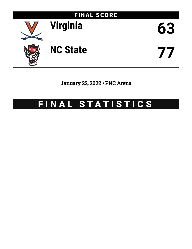

January 22, 2022 • PNC Arena

# FINAL STATISTICS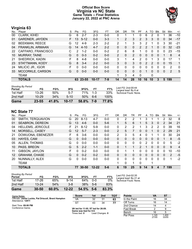### **Official Box Score Virginia vs NC State Game Totals -- Final Statistics January 22, 2022 at PNC Arena**



# **Virginia 63**

| No. | Player                  | S  | <b>Pts</b> | FG       | 3FG       | FТ      | 0R            | DR       | TR             | PF             | A              | TO | <b>B</b> lk  | Stl | Min | $+/-$          |
|-----|-------------------------|----|------------|----------|-----------|---------|---------------|----------|----------------|----------------|----------------|----|--------------|-----|-----|----------------|
| 00  | <b>CLARK, KIHEI</b>     | G  | 6          | $2 - 7$  | $2 - 3$   | $0-0$   | 0             |          |                | 0              | 6              | 2  | 0            |     | 36  | $-10$          |
| 01  | <b>GARDNER, JAYDEN</b>  | F. | 13         | $5 - 12$ | $0 - 0$   | $3 - 3$ |               | 2        | 3              | $\overline{2}$ | 3              | 3  | $\mathbf{0}$ | 0   | 34  | $-17$          |
| 02  | <b>BEEKMAN, REECE</b>   | G  | 12         | $4-9$    | $2 - 3$   | $2 - 2$ | 2             |          | 3              | 3              | 2              | 1  | 0            | 3   | 30  | $-21$          |
| 04  | <b>FRANKLIN, ARMAAN</b> | G  | 14         | $4 - 10$ | $4 - 7$   | $2 - 2$ | 0             | 0        | 0              | $\mathcal{P}$  | 2              |    | 0            | 0   | 32  | $-23$          |
| 22  | CAFFARO, FRANCISCO      | C  | 2          | $1 - 2$  | $0 - 0$   | $0 - 2$ | $\mathcal{P}$ | 6        | 8              |                | 0              | 0  | 0            | 0   | 23  | $-15$          |
| 10  | <b>MURRAY, TAINE</b>    | G  | $\Omega$   | $0 - 3$  | $0 - 2$   | $0 - 0$ | $\mathcal{P}$ | $\Omega$ | $\overline{2}$ | $\Omega$       | 0              | 0  | $\Omega$     |     | 8   | $\overline{4}$ |
| 21  | SHEDRICK, KADIN         | F  | 8          | $4 - 8$  | $0 - 0$   | $0 - 0$ | 3             |          | 4              | 2              | 0              |    | 3            | 0   | 17  | 1              |
| 23  | STATTMANN, KODY         | G  | 8          | $3 - 4$  | $2 - 2$   | $0 - 0$ | 3             | 0        | 3              | 0              | $\overline{2}$ | 2  | $\Omega$     | 0   | 15  | 1              |
| 24  | MILIČIĆ JR., IGOR       | F  | 0          | $0 - 0$  | $0 - 0$   | $0 - 0$ | $\Omega$      | 0        | 0              | 0              | 0              | 0  | 0            | 0   | 2   | 0              |
| 33  | MCCORKLE, CARSON        | G  | 0          | $0 - 0$  | $0 - 0$   | $0 - 0$ | $\Omega$      | 0        | 0              | 0              | 1              | 0  | $\Omega$     | 0   | 2   | 5              |
|     | <b>TEAM</b>             |    |            |          |           |         |               | 3        | 4              | $\Omega$       |                | 0  |              |     |     |                |
|     | <b>TOTALS</b>           |    | 63         | 23-55    | $10 - 17$ | 7-9     | 14            | 14       | 28             | 10             | 16             | 10 | 3            | 5   | 199 |                |

| Game                                | $23 - 55$ | 41.8% | $10 - 17$ | 58.8% | 7-9     | 77.8% |                                             |
|-------------------------------------|-----------|-------|-----------|-------|---------|-------|---------------------------------------------|
| 2nd Half                            | $10 - 29$ | 34%   | $5-10$    | 50%   | 6-6     | 100%  |                                             |
| 1st Half                            | $13 - 26$ | 50%   | $5 - 7$   | 71%   | $1 - 3$ | 33%   | Technical Fouls: None.                      |
| <b>Shooting By Period</b><br>Period | FG        | FG%   | 3FG       | 3FG%  | FТ      | FT%   | Last FG: 2nd-00:44<br>Largest lead: By 8 at |

# **NC State 77**

| No. | Plaver                   | S | <b>Pts</b>      | FG        | 3FG       | FT      | 0 <sub>R</sub> | DR       | TR           | PF             | A        | TO       | <b>BIK</b>  | Stl          | Min            | $+/-$          |
|-----|--------------------------|---|-----------------|-----------|-----------|---------|----------------|----------|--------------|----------------|----------|----------|-------------|--------------|----------------|----------------|
| 00  | SMITH, TERQUAVION        | G | 20              | $8 - 13$  | 4-7       | $0-0$   | 0              | 2        | 2            |                | 3        |          |             | 2            | 32             | 8              |
| 01  | <b>SEABRON, DEREON</b>   | G | 13 <sup>°</sup> | $4-6$     | $0 - 0$   | $5-6$   | 1              | 5        | 6            |                | 5        | 3        | $\Omega$    | 2            | 34             | 21             |
| 04  | <b>HELLEMS, JERICOLE</b> | F | 21              | $8 - 12$  | $5-9$     | $0 - 0$ | 0              | 2        | 2            |                | 3        | 2        | 2           | 0            | 39             | 16             |
| 14  | MORSELL, CASEY           | G | 12              | $5 - 7$   | $2 - 3$   | $0 - 0$ | $\overline{2}$ | 5        |              | 0              | $\Omega$ |          | $\Omega$    | 2            | 29             | 21             |
| 21  | DOWUONA, EBENEZER        | F | 6               | $3-6$     | $0 - 0$   | $0 - 0$ | 2              | 3        | 5            | 4              | 0        |          | 1           | 0            | 30             | 24             |
| 03  | HAYES, CAM               | G | $\Omega$        | $0 - 0$   | $0 - 0$   | $0 - 0$ | 0              | 0        | $\Omega$     | 0              | 0        | 0        | 0           |              | 8              | $-5$           |
| 05  | <b>ALLEN, THOMAS</b>     | G | 0               | $0 - 0$   | $0 - 0$   | $0 - 0$ | 0              | 0        | $\Omega$     | 0              | 2        | 0        | 0           | 0            | 5              | $-2$           |
| 10  | PASS, BREON              | G | 5               | $2 - 2$   | $1 - 1$   | $0 - 0$ | $\Omega$       | 1        | $\mathbf{1}$ | $\overline{2}$ |          | $\Omega$ | $\Omega$    | $\Omega$     | 9              | $\overline{4}$ |
| 11  | GIBSON, JAYLON           | F | 0               | $0 - 2$   | $0 - 0$   | $0 - 0$ | 0              | 1        |              | 0              | 0        | 0        | $\mathbf 0$ | 0            | 10             | $-10$          |
| 12  | <b>GRAHAM, CHASE</b>     | G | $\Omega$        | $0 - 2$   | $0 - 2$   | $0 - 0$ | 0              | 0        | 0            | $\Omega$       | 0        | 0        | $\Omega$    | $\mathbf{0}$ | $\overline{2}$ | $-5$           |
| 20  | NUNNALLY, ALEX           | G | 0               | $0 - 0$   | $0 - 0$   | $0 - 0$ | 0              | $\Omega$ | $\Omega$     | 0              | 0        | $\Omega$ | 0           | 0            | 1              | $-2$           |
|     | <b>TEAM</b>              |   |                 |           |           |         |                | 0        |              | 0              |          |          |             |              |                |                |
|     | <b>TOTALS</b>            |   | 77              | $30 - 50$ | $12 - 22$ | 5-6     | 6              | 19       | 25           | 9              | 14       | 9        | 4           |              | 199            |                |

| 2nd Half<br>Game                    | $13 - 24$<br>$30 - 50$ | 54%<br>60.0% | $3 - 8$<br>$12 - 22$ | 38 <sup>%</sup><br>54.5% | $5-6$<br>$5 - 6$ | 83%<br>83.3% |                 |
|-------------------------------------|------------------------|--------------|----------------------|--------------------------|------------------|--------------|-----------------|
| 1st Half                            | 17-26                  | 65%          | $9 - 14$             | 64%                      | 0-0              | $0\%$        | Techn           |
| <b>Shooting By Period</b><br>Period | FG                     | FG%          | 3FG                  | 3FG%                     | FТ               | FT%          | Last F<br>Large |

*Last FG:* 2nd-02:35 *Largest lead:* By 21 at *Technical Fouls:* None.

| Game Notes:                                                               | <b>Score</b>                            | 1st | 2 <sub>nd</sub> | тот | <b>Points</b> | <b>VA</b>      | <b>ST</b>      |
|---------------------------------------------------------------------------|-----------------------------------------|-----|-----------------|-----|---------------|----------------|----------------|
| Officials: Jamie Luckie, Pat Driscoll, Brent Hampton<br>Attendance: 12811 | VA                                      | 32  | 31              | 63  | In the Paint  | 16             | 34             |
|                                                                           | <b>ST</b>                               | 43  | 34              | 77  | Off Turns     | 16             | 14             |
| Start Time: 09:00 PM                                                      |                                         |     |                 |     | 2nd Chance    |                |                |
| Conference Game;                                                          | VA led for 11:05. ST led for 26:09.     |     |                 |     | Fast Break    |                |                |
|                                                                           | Game was tied for 0:0.<br>Times tied: 0 |     | Lead Changes: 0 |     | Bench         | 16             |                |
|                                                                           |                                         |     |                 |     | Per Poss      | 1.145<br>27/55 | 1.400<br>33/55 |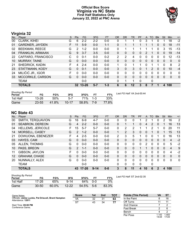#### **Official Box Score Virginia vs NC State First Half Statistics Only January 22, 2022 at PNC Arena**



# **Virginia 32**

| No. | Player                  | S  | <b>Pts</b> | <b>FG</b> | 3FG     | <b>FT</b> | <b>OR</b>     | <b>DR</b> | TR      | <b>PF</b> | A        | TO       | <b>Blk</b>   | Stl          | Min          | $+/-$        |
|-----|-------------------------|----|------------|-----------|---------|-----------|---------------|-----------|---------|-----------|----------|----------|--------------|--------------|--------------|--------------|
| 00  | CLARK, KIHEI            | G  | 6          | 2-2       | $2 - 2$ | $0-0$     | 0             |           |         | 0         | 3        |          | 0            |              | 18           | $-2$         |
| 01  | <b>GARDNER, JAYDEN</b>  | F. | 11         | $5-9$     | $0 - 0$ | $1 - 1$   | 0             |           |         |           |          |          | $\mathbf{0}$ | 0            | 18           | $-11$        |
| 02  | <b>BEEKMAN, REECE</b>   | G  | 2          | $1 - 2$   | $0 - 0$ | $0-0$     | 0             | 1         |         |           |          |          | 0            | 3            | 15           | $-13$        |
| 04  | <b>FRANKLIN, ARMAAN</b> | G  | 9          | $3 - 7$   | $3 - 5$ | $0 - 0$   | 0             | 0         | 0       | 0         | 2        |          | $\Omega$     | $\mathbf{0}$ | 19           | $-14$        |
| 22  | CAFFARO, FRANCISCO      | С  | 0          | $0 - 1$   | $0 - 0$ | $0 - 2$   | $\mathcal{P}$ | 2         | 4       | 0         | 0        | 0        | $\Omega$     | 0            | 12           | $-13$        |
| 10  | <b>MURRAY, TAINE</b>    | G  | $\Omega$   | $0 - 0$   | $0 - 0$ | $0 - 0$   | 0             | $\Omega$  | 0       | 0         | $\Omega$ | $\Omega$ | $\Omega$     | $\Omega$     | $\Omega$     | 0            |
| 21  | SHEDRICK, KADIN         | F  | 4          | $2 - 4$   | $0 - 0$ | $0 - 0$   |               | $\Omega$  |         | 1         | 0        |          |              | 0            | 8            | 2            |
| 23  | STATTMANN, KODY         | G  | 0          | $0 - 1$   | $0 - 0$ | $0 - 0$   | 3             | 0         | 3       | 0         |          | 2        | $\Omega$     | 0            | 10           | $-4$         |
| 24  | MILIČIĆ JR., IGOR       | F. | 0          | $0 - 0$   | $0 - 0$ | $0 - 0$   | 0             | 0         | 0       | 0         | 0        | 0        | ∩            | 0            | 0            | 0            |
| 33  | MCCORKLE, CARSON        | G  | 0          | $0 - 0$   | $0 - 0$ | $0 - 0$   | 0             | $\Omega$  | 0       | $\Omega$  | $\Omega$ | 0        | $\Omega$     | $\mathbf{0}$ | $\mathbf{0}$ | $\mathbf{0}$ |
|     | <b>TEAM</b>             |    |            | $0-0$     |         |           | 0             | 1         | 1       | $\Omega$  |          | 0        |              |              |              |              |
|     | <b>TOTALS</b>           |    |            | 32 13-26  | $5 - 7$ | $1 - 3$   | 6             | 6         | $12 \,$ | 3         | 8        | 7        |              | 4            | 100          |              |

| <b>Shooting By Period</b><br>Period | FG        | FG%   | 3FG       | 3FG%  | FT.     | FT%   | Last FG Half: VA 2nd-00:44 |
|-------------------------------------|-----------|-------|-----------|-------|---------|-------|----------------------------|
| 1st Half                            | $13 - 26$ | 50%   | $5 - 7$   | 71%   | $1 - 3$ | 33%   |                            |
| Game                                | $23 - 55$ | 41.8% | $10 - 17$ | 58.8% | 7-9     | 77.8% |                            |

## **NC State 43**

| No.               | Player                   | S  | <b>Pts</b>     | FG.       | 3FG      | <b>FT</b> | <b>OR</b>      | <b>DR</b> | TR       | PF       | A        | TO | <b>Blk</b>   | Stl      | Min            | $+/-$          |
|-------------------|--------------------------|----|----------------|-----------|----------|-----------|----------------|-----------|----------|----------|----------|----|--------------|----------|----------------|----------------|
| 00                | SMITH, TERQUAVION        | G  | 16             | $6 - 9$   | 4-7      | $0-0$     | 0              | 0         | 0        |          | 2        |    | 0            | 2        | 16             | $\overline{2}$ |
| 01                | <b>SEABRON, DEREON</b>   | G  | $\overline{4}$ | $2 - 2$   | $0 - 0$  | $0 - 0$   | 0              |           |          | $\Omega$ | 4        | 2  | $\mathbf{0}$ |          | 16             | 13             |
| 04                | <b>HELLEMS, JERICOLE</b> | F  | 15             | $5 - 7$   | $5 - 7$  | $0 - 0$   | 0              | 2         | 2        |          |          | 2  |              | 0        | 20             | 11             |
| 14                | MORSELL, CASEY           | G  | $\mathcal{P}$  | $1 - 2$   | $0 - 0$  | $0 - 0$   | $\mathbf{1}$   | 2         | 3        | 0        | $\Omega$ |    | $\Omega$     |          | 15             | 13             |
| 21                | DOWUONA, EBENEZER        | F. | 4              | $2 - 5$   | $0 - 0$  | $0 - 0$   | $\overline{2}$ | 3         | 5        |          | 0        | 0  |              | 0        | 16             | 13             |
| 03                | HAYES, CAM               | G  | $\Omega$       | $0 - 0$   | $0 - 0$  | $0 - 0$   | 0              | 0         | $\Omega$ | $\Omega$ | 0        | 0  | $\mathbf{0}$ | $\Omega$ | $\overline{4}$ | $-2$           |
| 05                | <b>ALLEN, THOMAS</b>     | G  | $\Omega$       | $0 - 0$   | $0 - 0$  | $0 - 0$   | 0              | 0         | $\Omega$ | $\Omega$ | 2        | 0  | $\Omega$     | 0        | 5              | -2             |
| 10                | PASS, BREON              | G  | $\mathcal{P}$  | $1 - 1$   | $0 - 0$  | $0 - 0$   | $\Omega$       | $\Omega$  | $\Omega$ |          | 1        | 0  | $\Omega$     | $\Omega$ | $\overline{4}$ | 9              |
| 11                | <b>GIBSON, JAYLON</b>    | F  | 0              | $0 - 0$   | $0 - 0$  | $0 - 0$   | 0              | $\Omega$  | $\Omega$ | 0        | 0        | 0  | 0            | 0        | 4              | $-2$           |
| $12 \overline{ }$ | <b>GRAHAM, CHASE</b>     | G  | $\Omega$       | $0 - 0$   | $0 - 0$  | $0 - 0$   | $\Omega$       | 0         | $\Omega$ | $\Omega$ | $\Omega$ | 0  | $\Omega$     | $\Omega$ | $\Omega$       | $\overline{0}$ |
| 20                | NUNNALLY, ALEX           | G  | $\Omega$       | $0 - 0$   | $0 - 0$  | $0 - 0$   | 0              | 0         | $\Omega$ | $\Omega$ | $\Omega$ | 0  | $\Omega$     | $\Omega$ | $\Omega$       | $\mathbf{0}$   |
|                   | <b>TEAM</b>              |    |                | $0 - 0$   |          |           | 0              | $\Omega$  | $\Omega$ | $\Omega$ |          | 0  |              |          |                |                |
|                   | <b>TOTALS</b>            |    | 43             | $17 - 26$ | $9 - 14$ | $0 - 0$   | 3              | 8         | 11       | 4        | 10       | 6  | 2            | 4        | 100            |                |

| Shooting By Period<br>Period | FG        | FG%   | 3FG       | 3FG%  | FТ    | FT%   |
|------------------------------|-----------|-------|-----------|-------|-------|-------|
| 1st Half                     | 17-26     | 65%   | $9 - 14$  | 64%   | 0-0   | $0\%$ |
| Game                         | $30 - 50$ | 60.0% | $12 - 22$ | 54.5% | $5-6$ | 83.3% |

*Last FG Half:* ST 2nd-02:35

| Game Notes:                                                               | <b>Score</b> | 1st | 2 <sub>nd</sub> | <b>TOT</b> | <b>Points (This Period)</b> | VA             | <b>ST</b>      |
|---------------------------------------------------------------------------|--------------|-----|-----------------|------------|-----------------------------|----------------|----------------|
| Officials: Jamie Luckie, Pat Driscoll, Brent Hampton<br>Attendance: 12811 | VA           | 32  | 31              | 63         | In the Paint                |                | 16             |
|                                                                           | <b>ST</b>    | 43  | 34              | 77         | Off Turns                   |                |                |
| Start Time: 09:00 PM                                                      |              |     |                 |            | 2nd Chance                  |                |                |
| Conference Game;                                                          |              |     |                 |            | <b>Fast Break</b>           |                |                |
|                                                                           |              |     |                 |            | Bench                       |                |                |
|                                                                           |              |     |                 |            | Per Poss                    | 1.143<br>14/28 | 1.483<br>17/29 |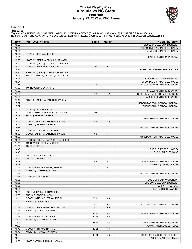#### **Official Play-By-Play Virginia vs NC State First Half January 22, 2022 at PNC Arena**



#### **Period 1**

<mark>Startersː</mark><br>Virginia: 0 CLARK,KIHEI (G); 1 GARDNER,JAYDEN (F); 2 BEEKMAN,REECE (G); 4 FRANKLIN,ARMAAN (G); 22 CAFFARO,FRANCISCO (C);<br>**NC State**: 0 SMITH,TERQUAVION (G); 1 SEABRON,DEREON (G); 4 HELLEMS,JERICOLE (F); 14 MORS

| Time           | <b>VISITORS: Virginia</b>           | <b>Score</b> | <b>Margin</b>  | <b>HOME: NC State</b>                                               |
|----------------|-------------------------------------|--------------|----------------|---------------------------------------------------------------------|
| 19:29          |                                     |              |                | MISSED by DOWUONA, EBENEZER                                         |
| 19:26          |                                     |              |                | REBOUND (OFF) by MORSELL, CASEY                                     |
| 19:26          |                                     |              |                | TURNOVER by MORSELL, CASEY                                          |
| 19:26          | STEAL by BEEKMAN, REECE             |              |                |                                                                     |
| 19:15          |                                     |              |                | FOUL by SMITH, TERQUAVION                                           |
| 19:03          | MISSED JUMPER by FRANKLIN, ARMAAN   |              |                |                                                                     |
| 18:58          | REBOUND (OFF) by CAFFARO, FRANCISCO |              |                |                                                                     |
| 18:56          | GOOD! JUMPER by BEEKMAN, REECE      | $0 - 2$      | V <sub>2</sub> |                                                                     |
| 18:34          |                                     |              |                | MISSED 3PTR by HELLEMS, JERICOLE                                    |
| 18:30          | REBOUND (DEF) by CAFFARO, FRANCISCO |              |                |                                                                     |
| 18:06          | MISSED LAYUP by CAFFARO, FRANCISCO  |              |                |                                                                     |
| 18:06          |                                     |              |                | BLOCK by DOWUONA, EBENEZER                                          |
| 18:01<br>17:54 |                                     | $2 - 2$      | T              | REBOUND (DEF) by MORSELL, CASEY<br>GOOD! LAYUP by SMITH, TERQUAVION |
| 17:38          | TURNOVER by CLARK, KIHEI            |              |                |                                                                     |
| 17:38          |                                     |              |                | STEAL by SMITH, TERQUAVION                                          |
| 17:33          |                                     | $4 - 2$      | H <sub>2</sub> | GOOD! DUNK by SEABRON, DEREON [FB]                                  |
| 17:33          |                                     |              |                | ASSIST by SMITH, TERQUAVION                                         |
| 17:10          | MISSED JUMPER by GARDNER, JAYDEN    |              |                |                                                                     |
| 17:07          |                                     |              |                | REBOUND (DEF) by SEABRON, DEREON                                    |
| 17:02          |                                     |              |                | TURNOVER by SEABRON, DEREON                                         |
| 17:02          | STEAL by BEEKMAN, REECE             |              |                |                                                                     |
| 16:56          | GOOD! LAYUP by GARDNER, JAYDEN [FB] | $4 - 4$      | $\mathsf{T}$   |                                                                     |
| 16:48          | FOUL by BEEKMAN, REECE              |              |                |                                                                     |
| 16:41          |                                     |              |                | TURNOVER by SMITH, TERQUAVION                                       |
| 16:23          | GOOD! JUMPER by GARDNER, JAYDEN     | $4-6$        | V <sub>2</sub> |                                                                     |
| 16:23          | ASSIST by BEEKMAN, REECE            |              |                |                                                                     |
| 15:54          |                                     |              |                | MISSED 3PTR by SMITH, TERQUAVION                                    |
| 15:50          | REBOUND (DEF) by CLARK, KIHEI       |              |                |                                                                     |
| 15:36          | GOOD! JUMPER by GARDNER, JAYDEN     | $4 - 8$      | V <sub>4</sub> |                                                                     |
| 15:09          |                                     |              |                | MISSED JUMPER by MORSELL, CASEY                                     |
| 15:05          | REBOUND (DEF) by CAFFARO, FRANCISCO |              |                |                                                                     |
| 14:48          | TURNOVER by BEEKMAN, REECE          |              |                |                                                                     |
| 14:48          | <b>TIMEOUT MEDIA</b>                |              |                |                                                                     |
| 14:48          |                                     |              |                | SUB OUT: MORSELL, CASEY                                             |
| 14:48          |                                     |              |                | SUB IN: ALLEN, THOMAS                                               |
| 14:48          | SUB OUT: BEEKMAN, REECE             |              |                |                                                                     |
| 14:48          | SUB IN: STATTMANN, KODY             | $7 - 8$      | V <sub>1</sub> |                                                                     |
| 14:18<br>14:18 |                                     |              |                | GOOD! 3PTR by SMITH, TERQUAVION                                     |
| 13:53          | GOOD! 3PTR by FRANKLIN, ARMAAN      | $7 - 11$     | V <sub>4</sub> | ASSIST by ALLEN, THOMAS                                             |
| 13:53          | ASSIST by GARDNER, JAYDEN           |              |                |                                                                     |
| 13:36          |                                     |              |                | MISSED 3PTR by SMITH, TERQUAVION                                    |
| 13:35          | REBOUND (DEF) by TEAM               |              |                |                                                                     |
| 13:35          |                                     |              |                | SUB OUT: SEABRON, DEREON                                            |
| 13:35          |                                     |              |                | SUB OUT: DOWUONA, EBENEZER                                          |
| 13:35          |                                     |              |                | SUB IN: HAYES, CAM                                                  |
| 13:35          |                                     |              |                | SUB IN: GIBSON, JAYLON                                              |
| 13:35          | SUB OUT: CAFFARO, FRANCISCO         |              |                |                                                                     |
| 13:35          | SUB IN: SHEDRICK, KADIN             |              |                |                                                                     |
| 13:11          | GOOD! LAYUP by SHEDRICK, KADIN      | $7 - 13$     | $V_6$          |                                                                     |
| 13:11          | ASSIST by CLARK, KIHEI              |              |                |                                                                     |
| 12:46          |                                     | $9 - 13$     | V <sub>4</sub> | GOOD! LAYUP by SMITH, TERQUAVION                                    |
| 12:17          | GOOD! JUMPER by GARDNER, JAYDEN     | $9 - 15$     | $V_6$          |                                                                     |
| 12:17          | ASSIST by FRANKLIN, ARMAAN          |              |                |                                                                     |
| 11:49          |                                     | $12 - 15$    | $V_3$          | GOOD! 3PTR by SMITH, TERQUAVION                                     |
| 11:27          | GOOD! 3PTR by CLARK, KIHEI          | $12 - 18$    | $V_6$          |                                                                     |
| 11:27          | ASSIST by STATTMANN, KODY           |              |                |                                                                     |
| 11:03          |                                     | $15-18$      | $V_3$          | GOOD! 3PTR by SMITH, TERQUAVION                                     |
| 11:03          |                                     |              |                | ASSIST by HELLEMS, JERICOLE                                         |
| 10:43          | GOOD! 3PTR by CLARK, KIHEI          | $15 - 21$    | $V_6$          |                                                                     |
| 10:43          | ASSIST by FRANKLIN, ARMAAN          |              |                |                                                                     |
| 10:24          |                                     | 18-21        | $V_3$          | GOOD! 3PTR by HELLEMS, JERICOLE                                     |
| 10:24          |                                     |              |                | ASSIST by ALLEN, THOMAS                                             |
| 10:05          | MISSED 3PTR by FRANKLIN, ARMAAN     |              |                |                                                                     |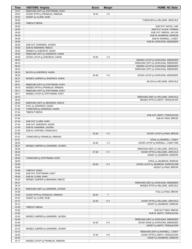| <b>Time</b>    | <b>VISITORS: Virginia</b>                                     | <b>Score</b> | <b>Margin</b>  | <b>HOME: NC State</b>                             |
|----------------|---------------------------------------------------------------|--------------|----------------|---------------------------------------------------|
| 10:01          | REBOUND (OFF) by STATTMANN, KODY                              |              |                |                                                   |
| 09:53          | GOOD! 3PTR by FRANKLIN, ARMAAN                                | 18-24        | $V_6$          |                                                   |
| 09:53          | ASSIST by CLARK, KIHEI                                        |              |                |                                                   |
| 09:29<br>09:29 |                                                               |              |                | TURNOVER by HELLEMS, JERICOLE                     |
| 09:29          | <b>TIMEOUT MEDIA</b>                                          |              |                | SUB OUT: HAYES, CAM                               |
| 09:29          |                                                               |              |                | SUB OUT: ALLEN, THOMAS                            |
| 09:29          |                                                               |              |                | SUB OUT: GIBSON, JAYLON                           |
| 09:29          |                                                               |              |                | SUB IN: SEABRON, DEREON                           |
| 09:29          |                                                               |              |                | SUB IN: MORSELL, CASEY                            |
| 09:29          |                                                               |              |                | SUB IN: DOWUONA, EBENEZER                         |
| 09:29          | SUB OUT: GARDNER, JAYDEN                                      |              |                |                                                   |
| 09:29          | SUB IN: BEEKMAN, REECE                                        |              |                |                                                   |
| 09:05<br>08:58 | MISSED by SHEDRICK, KADIN<br>REBOUND (OFF) by SHEDRICK, KADIN |              |                |                                                   |
| 08:58          | GOOD! LAYUP by SHEDRICK, KADIN                                | 18-26        | V8             |                                                   |
| 08:43          |                                                               |              |                | MISSED LAYUP by DOWUONA, EBENEZER                 |
| 08:33          |                                                               |              |                | REBOUND (OFF) by DOWUONA, EBENEZER                |
| 08:33          |                                                               |              |                | MISSED LAYUP by DOWUONA, EBENEZER                 |
| 08:33          |                                                               |              |                | REBOUND (OFF) by DOWUONA, EBENEZER                |
| 08:33          | BLOCK by SHEDRICK, KADIN                                      |              |                |                                                   |
| 08:30          |                                                               | $20 - 26$    | $V_6$          | GOOD! LAYUP by DOWUONA, EBENEZER                  |
| 08:27<br>08:27 | MISSED JUMPER by SHEDRICK, KADIN                              |              |                | BLOCK by HELLEMS, JERICOLE                        |
| 08:21          | REBOUND (OFF) by STATTMANN, KODY                              |              |                |                                                   |
| 08:16          | MISSED 3PTR by FRANKLIN, ARMAAN                               |              |                |                                                   |
| 08:11          | REBOUND (OFF) by STATTMANN, KODY                              |              |                |                                                   |
| 08:11          | MISSED LAYUP by STATTMANN, KODY                               |              |                |                                                   |
| 08:10          |                                                               |              |                | REBOUND (DEF) by HELLEMS, JERICOLE                |
| 08:05          |                                                               |              |                | MISSED 3PTR by SMITH, TERQUAVION                  |
| 08:02          | REBOUND (DEF) by BEEKMAN, REECE                               |              |                |                                                   |
| 07:44<br>07:44 | FOUL by SHEDRICK, KADIN<br>TURNOVER by SHEDRICK, KADIN        |              |                |                                                   |
| 07:44          | <b>TIMEOUT MEDIA</b>                                          |              |                |                                                   |
| 07:44          |                                                               |              |                | SUB OUT: SMITH, TERQUAVION                        |
| 07:44          |                                                               |              |                | SUB IN: PASS, BREON                               |
| 07:44          | SUB OUT: CLARK, KIHEI                                         |              |                |                                                   |
| 07:44          | SUB OUT: SHEDRICK, KADIN                                      |              |                |                                                   |
| 07:44          | SUB IN: GARDNER, JAYDEN                                       |              |                |                                                   |
| 07:44<br>07:20 | SUB IN: CAFFARO, FRANCISCO                                    | 22-26        | V <sub>4</sub> | GOOD! LAYUP by PASS, BREON                        |
| 07:01          | TURNOVER by FRANKLIN, ARMAAN                                  |              |                |                                                   |
| 07:01          |                                                               |              |                | STEAL by MORSELL, CASEY                           |
| 06:55          |                                                               | 24-26        | V <sub>2</sub> | GOOD! LAYUP by MORSELL, CASEY [FB]                |
| 06:31          | MISSED JUMPER by GARDNER, JAYDEN                              |              |                |                                                   |
| 06:28          |                                                               |              |                | REBOUND (DEF) by HELLEMS, JERICOLE                |
| 06:20          |                                                               | 27-26        | H <sub>1</sub> | GOOD! 3PTR by HELLEMS, JERICOLE                   |
| 06:20<br>06:00 | TURNOVER by STATTMANN, KODY                                   |              |                | ASSIST by SEABRON, DEREON                         |
| 06:00          |                                                               |              |                | STEAL by SEABRON, DEREON                          |
| 05:56          |                                                               | 29-26        | $H_3$          | GOOD! LAYUP by SEABRON, DEREON [FB]               |
| 05:56          |                                                               |              |                | ASSIST by PASS, BREON                             |
| 05:56          | TIMEOUT 30SEC                                                 |              |                |                                                   |
| 05:56          | SUB OUT: STATTMANN, KODY                                      |              |                |                                                   |
| 05:56          | SUB IN: CLARK, KIHEI                                          |              |                |                                                   |
| 05:25          | MISSED JUMPER by BEEKMAN, REECE                               |              |                | REBOUND (DEF) by DOWUONA, EBENEZER                |
| 05:21<br>05:15 |                                                               |              |                | MISSED 3PTR by HELLEMS, JERICOLE                  |
| 05:12          | REBOUND (DEF) by GARDNER, JAYDEN                              |              |                |                                                   |
| 04:59          |                                                               |              |                | FOUL by PASS, BREON                               |
| 04:53          | GOOD! 3PTR by FRANKLIN, ARMAAN                                | 29-29        | $\top$         |                                                   |
| 04:53          | ASSIST by CLARK, KIHEI                                        |              |                |                                                   |
| 04:13          |                                                               | 32-29        | $H_3$          | GOOD! 3PTR by HELLEMS, JERICOLE                   |
| 04:13          |                                                               |              |                | ASSIST by SEABRON, DEREON                         |
| 03:55<br>03:55 | <b>TIMEOUT MEDIA</b>                                          |              |                |                                                   |
| 03:55          |                                                               |              |                | SUB OUT: PASS, BREON<br>SUB IN: SMITH, TERQUAVION |
| 03:43          | MISSED JUMPER by GARDNER, JAYDEN                              |              |                |                                                   |
| 03:40          |                                                               |              |                | REBOUND (DEF) by DOWUONA, EBENEZER                |
| 03:34          |                                                               | 34-29        | H <sub>5</sub> | GOOD! DUNK by DOWUONA, EBENEZER                   |
| 03:34          |                                                               |              |                | ASSIST by SMITH, TERQUAVION                       |
| 03:15          | MISSED JUMPER by GARDNER, JAYDEN                              |              |                |                                                   |
| 03:12          |                                                               |              |                | REBOUND (DEF) by MORSELL, CASEY                   |
| 02:54          |                                                               | 37-29        | H <sub>8</sub> | GOOD! 3PTR by SMITH, TERQUAVION                   |
| 02:54<br>02:17 | MISSED LAYUP by FRANKLIN, ARMAAN                              |              |                | ASSIST by SEABRON, DEREON                         |
|                |                                                               |              |                |                                                   |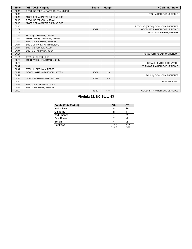| <b>Time</b> | <b>VISITORS: Virginia</b>           | <b>Score</b> | <b>Margin</b> | <b>HOME: NC State</b>              |
|-------------|-------------------------------------|--------------|---------------|------------------------------------|
| 02:16       | REBOUND (OFF) by CAFFARO, FRANCISCO |              |               |                                    |
| 02:16       |                                     |              |               | FOUL by HELLEMS, JERICOLE          |
| 02:16       | MISSED FT by CAFFARO, FRANCISCO     |              |               |                                    |
| 02:16       | REBOUND (DEADB) by TEAM             |              |               |                                    |
| 02:16       | MISSED FT by CAFFARO, FRANCISCO     |              |               |                                    |
| 02:16       |                                     |              |               | REBOUND (DEF) by DOWUONA, EBENEZER |
| 01:59       |                                     | 40-29        | H 11          | GOOD! 3PTR by HELLEMS, JERICOLE    |
| 01:59       |                                     |              |               | ASSIST by SEABRON, DEREON          |
| 01:41       | FOUL by GARDNER, JAYDEN             |              |               |                                    |
| 01:41       | TURNOVER by GARDNER, JAYDEN         |              |               |                                    |
| 01:41       | SUB OUT: FRANKLIN, ARMAAN           |              |               |                                    |
| 01:41       | SUB OUT: CAFFARO, FRANCISCO         |              |               |                                    |
| 01:41       | SUB IN: SHEDRICK, KADIN             |              |               |                                    |
| 01:41       | SUB IN: STATTMANN, KODY             |              |               |                                    |
| 01:21       |                                     |              |               | TURNOVER by SEABRON, DEREON        |
| 01:21       | STEAL by CLARK, KIHEI               |              |               |                                    |
| 00:50       | TURNOVER by STATTMANN, KODY         |              |               |                                    |
| 00:50       |                                     |              |               | STEAL by SMITH, TERQUAVION         |
| 00:42       |                                     |              |               | TURNOVER by HELLEMS, JERICOLE      |
| 00:42       | STEAL by BEEKMAN, REECE             |              |               |                                    |
| 00:22       | GOOD! LAYUP by GARDNER, JAYDEN      | 40-31        | H9            |                                    |
| 00:22       |                                     |              |               | FOUL by DOWUONA, EBENEZER          |
| 00:22       | GOOD! FT by GARDNER, JAYDEN         | 40-32        | H8            |                                    |
| 00:14       |                                     |              |               | TIMEOUT 30SEC                      |
| 00:14       | SUB OUT: STATTMANN, KODY            |              |               |                                    |
| 00:14       | SUB IN: FRANKLIN, ARMAAN            |              |               |                                    |
| 00:00       |                                     | 43-32        | H 11          | GOOD! 3PTR by HELLEMS, JERICOLE    |

# **Virginia 32, NC State 43**

| <b>Points (This Period)</b> | <b>VA</b>      | ST             |
|-----------------------------|----------------|----------------|
| In the Paint                |                | 16             |
| Off Turns                   | 11             |                |
| 2nd Chance                  |                |                |
| Fast Break                  |                |                |
| Bench                       |                |                |
| Per Poss                    | 1.143<br>14/28 | 1.483<br>17/29 |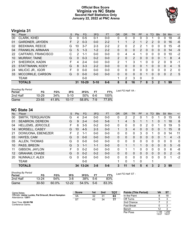#### **Official Box Score Virginia vs NC State Second Half Statistics Only January 22, 2022 at PNC Arena**



# **Virginia 31**

| No. | Player                 | S | <b>Pts</b>   | <b>FG</b> | 3FG      | <b>FT</b> | 0R             | <b>DR</b>    | TR | <b>PF</b> | A        | TO | <b>Blk</b> | <b>Stl</b> | Min            | $+/-$          |
|-----|------------------------|---|--------------|-----------|----------|-----------|----------------|--------------|----|-----------|----------|----|------------|------------|----------------|----------------|
| 00  | <b>CLARK, KIHEI</b>    | G | 0            | $0 - 5$   | $0 - 1$  | $0 - 0$   | 0              | 0            | 0  | 0         | 3        |    | 0          | 0          | 18             | -8             |
| 01  | <b>GARDNER, JAYDEN</b> | F | 2            | $0 - 3$   | $0 - 0$  | $2 - 2$   |                |              | 2  |           | 2        | 2  | 0          | 0          | 16             | -6             |
| 02  | <b>BEEKMAN, REECE</b>  | G | 10           | $3 - 7$   | $2 - 3$  | $2 - 2$   | 2              | 0            | 2  | 2         |          | 0  | 0          | 0          | 15             | -8             |
| 04  | FRANKLIN, ARMAAN       | G | 5            | $1 - 3$   | $1 - 2$  | $2 - 2$   | 0              | 0            | 0  | 2         | $\Omega$ | 0  | 0          | $\Omega$   | 14             | -9             |
| 22  | CAFFARO, FRANCISCO     | С | 2            | $1 - 1$   | $0 - 0$  | $0 - 0$   | 0              | 4            | 4  | 1         | 0        | 0  | 0          | $\Omega$   | 10             | $-2$           |
| 10  | <b>MURRAY, TAINE</b>   | G | $\Omega$     | $0 - 3$   | $0 - 2$  | $0 - 0$   | $\overline{2}$ | $\Omega$     | 2  | 0         | $\Omega$ | 0  | 0          |            | 8              | $\overline{4}$ |
| 21  | SHEDRICK, KADIN        | F | 4            | $2 - 4$   | $0 - 0$  | $0 - 0$   | 2              |              | 3  |           | 0        | 0  | 2          | $\Omega$   | 9              | -1             |
| 23  | STATTMANN, KODY        | G | 8            | $3 - 3$   | $2 - 2$  | $0 - 0$   | 0              | $\Omega$     | 0  | 0         |          | 0  | 0          | $\Omega$   | $\overline{4}$ | 5              |
| 24  | MILIČIĆ JR., IGOR      | F | $\Omega$     | $0 - 0$   | $0 - 0$  | $0 - 0$   | 0              | $\Omega$     | 0  | 0         | 0        | 0  | 0          | 0          | 2              | 0              |
| 33  | MCCORKLE, CARSON       | G | $\mathbf{0}$ | $0 - 0$   | $0 - 0$  | $0 - 0$   | $\Omega$       | $\mathbf{0}$ | 0  | 0         |          | 0  | 0          | $\Omega$   | $\overline{2}$ | 5              |
|     | <b>TEAM</b>            |   |              | $0 - 0$   |          |           |                | 2            | 3  | 0         |          | 0  |            |            |                |                |
|     | <b>TOTALS</b>          |   | 31           | $10 - 29$ | $5 - 10$ | $6 - 6$   | 8              | 8            | 16 | 7         | 8        | 3  | 2          |            | 99             |                |

| <b>Shooting By Period</b><br>Period | FG        | FG%   | 3FG       | 3FG%  | FТ   | FT%   | Last FG Half: VA - |
|-------------------------------------|-----------|-------|-----------|-------|------|-------|--------------------|
| 2nd Half                            | $10 - 29$ | 34%   | $5-10$    | 50%   | .6-ი | 100%  |                    |
| Game                                | $23 - 55$ | 41.8% | $10 - 17$ | 58.8% | 7-9  | 77.8% |                    |

### **NC State 34**

Attendance: **12811** Start Time: **09:00 PM** Conference Game;

| No. | Plaver                   | S | <b>Pts</b> | <b>FG</b> | 3FG     | <b>FT</b> | <b>OR</b>    | <b>DR</b> | <b>TR</b>    | PF | A            | TO       | <b>Blk</b>   | <b>Stl</b> | Min            | $+/-$        |
|-----|--------------------------|---|------------|-----------|---------|-----------|--------------|-----------|--------------|----|--------------|----------|--------------|------------|----------------|--------------|
| 00  | SMITH, TERQUAVION        | G | 4          | $2 - 4$   | $0-0$   | $0-0$     | 0            | 2         | 2            | 0  |              | 0        |              | 0          | 15             | 6            |
| 01  | <b>SEABRON, DEREON</b>   | G | 9          | $2 - 4$   | $0 - 0$ | $5-6$     |              | 4         | 5            |    |              |          | 0            |            | 18             | 8            |
| 04  | <b>HELLEMS, JERICOLE</b> | F | 6          | $3-5$     | $0 - 2$ | $0 - 0$   | 0            | 0         | 0            | 0  | 2            | 0        | 1            | 0          | 19             | 5            |
| 14  | MORSELL, CASEY           | G | 10         | $4 - 5$   | $2 - 3$ | $0 - 0$   | $\mathbf{1}$ | 3         | 4            | 0  | $\mathbf{0}$ | $\Omega$ | 0            |            | 15             | 8            |
| 21  | DOWUONA, EBENEZER        | F | 2          | $1 - 1$   | $0 - 0$ | $0 - 0$   | $\mathbf{0}$ | 0         | 0            | 3  | 0            |          | 0            | 0          | 14             | 11           |
| 03  | HAYES, CAM               | G | 0          | $0 - 0$   | $0 - 0$ | $0-0$     | $\Omega$     | 0         | $\mathbf 0$  | 0  | $\mathbf{0}$ | $\Omega$ | 0            |            | 4              | $-3$         |
| 05  | ALLEN, THOMAS            | G | 0          | $0 - 0$   | $0 - 0$ | $0-0$     | $\Omega$     | 0         | $\mathbf{0}$ | 0  | $\Omega$     | $\Omega$ | 0            | $\Omega$   | 0              | $\mathbf{0}$ |
| 10  | PASS, BREON              | G | 3          | $1 - 1$   | $1 - 1$ | $0 - 0$   | $\Omega$     |           | 1            |    | $\Omega$     | $\Omega$ | $\Omega$     | $\Omega$   | 5              | $-5$         |
| 11  | GIBSON, JAYLON           | F | 0          | $0 - 2$   | $0 - 0$ | $0 - 0$   | $\Omega$     |           | 1.           | 0  | 0            | $\Omega$ | 0            | $\Omega$   | 6              | -8           |
| 12  | <b>GRAHAM, CHASE</b>     | G | 0          | $0 - 2$   | $0 - 2$ | $0 - 0$   | $\Omega$     | $\Omega$  | $\Omega$     | 0  | $\mathbf{0}$ | $\Omega$ | $\Omega$     | $\Omega$   | $\overline{2}$ | $-5$         |
| 20  | NUNNALLY, ALEX           | G | 0          | $0 - 0$   | $0 - 0$ | $0 - 0$   | 0            | 0         | 0            | 0  | 0            | $\Omega$ | 0            | $\Omega$   | 1              | $-2$         |
|     | <b>TEAM</b>              |   |            | $0 - 0$   |         |           |              | 0         | 1            | 0  |              | и        |              |            |                |              |
|     | <b>TOTALS</b>            |   |            | 34 13-24  | $3 - 8$ | $5 - 6$   | 3            | 11        | 14           | 5  | 4            | 3        | $\mathbf{2}$ | 3          | 99             |              |
|     | Chooting Du Doriod       |   |            |           |         |           |              |           |              |    |              |          |              |            |                |              |

| Shooting By Period<br>Period | FG        | FG%      | 3FG       | 3FG%  | FТ    | FT%   | Last FG Half: ST - |
|------------------------------|-----------|----------|-----------|-------|-------|-------|--------------------|
| 2nd Half                     | $13 - 24$ | 54%      | $3 - 8$   | 38%   | 5-6   | 83%   |                    |
| Game                         | $30 - 50$ | $60.0\%$ | $12 - 22$ | 54.5% | $5-6$ | 83.3% |                    |

Game Notes: Officials: **Jamie Luckie, Pat Driscoll, Brent Hampton**

**Score 1st 2nd TOT** VA 32 31 **63** ST 43 34 **77 Points (This Period) VA ST** In the Paint 8 18<br>
Off Turns 5 3

| Off Turns  | 5              |                |
|------------|----------------|----------------|
| 2nd Chance |                |                |
| Fast Break | n              | 3              |
| Bench      | 12             | з              |
| Per Poss   | 1.148<br>13/27 | 1.259<br>16/27 |

j.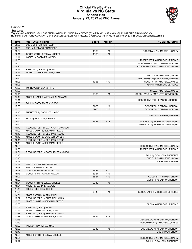#### **Official Play-By-Play Virginia vs NC State Second Half January 22, 2022 at PNC Arena**



#### **Period 2**

<mark>Startersː</mark><br>Virginia: 0 CLARK,KIHEI (G); 1 GARDNER,JAYDEN (F); 2 BEEKMAN,REECE (G); 4 FRANKLIN,ARMAAN (G); 22 CAFFARO,FRANCISCO (C);<br>**NC State**: 0 SMITH,TERQUAVION (G); 1 SEABRON,DEREON (G); 4 HELLEMS,JERICOLE (F); 14 MORS

| Time  | <b>VISITORS: Virginia</b>           | <b>Score</b> | <b>Margin</b> | <b>HOME: NC State</b>                 |
|-------|-------------------------------------|--------------|---------------|---------------------------------------|
| 20:00 | SUB OUT: SHEDRICK, KADIN            |              |               |                                       |
| 20:00 | SUB IN: CAFFARO, FRANCISCO          |              |               |                                       |
| 19:34 |                                     | 45-32        | H 13          | GOOD! LAYUP by MORSELL, CASEY         |
| 19:11 | GOOD! 3PTR by BEEKMAN, REECE        | 45-35        | H 10          |                                       |
| 19:11 | ASSIST by GARDNER, JAYDEN           |              |               |                                       |
| 18:56 |                                     |              |               | MISSED 3PTR by HELLEMS, JERICOLE      |
| 18:53 |                                     |              |               | REBOUND (OFF) by SEABRON, DEREON      |
| 18:26 |                                     |              |               | MISSED JUMPER by SMITH, TERQUAVION    |
| 18:26 | REBOUND (DEADB) by TEAM             |              |               |                                       |
| 18:16 | MISSED JUMPER by CLARK, KIHEI       |              |               |                                       |
| 18:16 |                                     |              |               | BLOCK by SMITH, TERQUAVION            |
| 18:10 |                                     |              |               | REBOUND (DEF) by SEABRON, DEREON      |
| 18:06 |                                     | 48-35        | H 13          | GOOD! 3PTR by MORSELL, CASEY          |
| 18:06 |                                     |              |               | ASSIST by HELLEMS, JERICOLE           |
| 17:50 | TURNOVER by CLARK, KIHEI            |              |               |                                       |
| 17:50 |                                     |              |               | STEAL by MORSELL, CASEY               |
| 17:45 |                                     | 50-35        | H 15          | GOOD! LAYUP by SMITH, TERQUAVION [FB] |
| 17:14 | MISSED JUMPER by FRANKLIN, ARMAAN   |              |               |                                       |
| 17:11 |                                     |              |               | REBOUND (DEF) by SEABRON, DEREON      |
| 17:05 | FOUL by CAFFARO, FRANCISCO          |              |               |                                       |
| 17:05 |                                     | 51-35        | H 16          | GOOD! FT by SEABRON, DEREON           |
| 17:05 |                                     | 52-35        | H 17          | GOOD! FT by SEABRON, DEREON           |
| 16:45 | TURNOVER by GARDNER, JAYDEN         |              |               |                                       |
| 16:45 |                                     |              |               | STEAL by SEABRON, DEREON              |
| 16:42 | FOUL by FRANKLIN, ARMAAN            |              |               |                                       |
| 16:42 |                                     | 53-35        | H 18          | GOOD! FT by SEABRON, DEREON [FB]      |
| 16:42 |                                     |              |               | MISSED FT by SEABRON, DEREON [FB]     |
| 16:42 | REBOUND (DEF) by CAFFARO, FRANCISCO |              |               |                                       |
| 16:23 | MISSED LAYUP by BEEKMAN, REECE      |              |               |                                       |
| 16:19 | REBOUND (OFF) by BEEKMAN, REECE     |              |               |                                       |
| 16:17 | MISSED LAYUP by GARDNER, JAYDEN     |              |               |                                       |
| 16:15 | REBOUND (OFF) by BEEKMAN, REECE     |              |               |                                       |
| 16:14 | MISSED LAYUP by BEEKMAN, REECE      |              |               |                                       |
| 16:09 |                                     |              |               | REBOUND (DEF) by MORSELL, CASEY       |
| 16:06 |                                     |              |               | MISSED 3PTR by HELLEMS, JERICOLE      |
| 16:01 | REBOUND (DEF) by CAFFARO, FRANCISCO |              |               |                                       |
| 15:48 |                                     |              |               | FOUL by DOWUONA, EBENEZER             |
| 15:48 |                                     |              |               | SUB OUT: SMITH, TERQUAVION            |
| 15:48 |                                     |              |               | SUB IN: PASS, BREON                   |
| 15:48 | SUB OUT: CAFFARO, FRANCISCO         |              |               |                                       |
| 15:48 | SUB IN: SHEDRICK, KADIN             |              |               |                                       |
| 15:48 | GOOD! FT by FRANKLIN, ARMAAN        | 53-36        | H 17          |                                       |
| 15:48 | GOOD! FT by FRANKLIN, ARMAAN        | 53-37        | H 16          |                                       |
| 15:27 |                                     | 56-37        | H 19          | GOOD! 3PTR by PASS, BREON             |
| 15:27 |                                     |              |               | ASSIST by SEABRON, DEREON             |
| 15:04 | GOOD! 3PTR by BEEKMAN, REECE        | 56-40        | H 16          |                                       |
| 15:04 | ASSIST by GARDNER, JAYDEN           |              |               |                                       |
| 14:49 | FOUL by BEEKMAN, REECE              |              |               |                                       |
| 14:29 |                                     | 58-40        | H 18          | GOOD! JUMPER by HELLEMS, JERICOLE     |
| 14:01 | MISSED 3PTR by CLARK, KIHEI         |              |               |                                       |
| 13:57 | REBOUND (OFF) by SHEDRICK, KADIN    |              |               |                                       |
| 13:53 | MISSED LAYUP by BEEKMAN, REECE      |              |               |                                       |
| 13:53 |                                     |              |               | BLOCK by HELLEMS, JERICOLE            |
| 13:53 | REBOUND (OFF) by TEAM               |              |               |                                       |
| 13:43 | MISSED LAYUP by CLARK, KIHEI        |              |               |                                       |
| 13:38 | REBOUND (OFF) by SHEDRICK, KADIN    |              |               |                                       |
| 13:38 | GOOD! LAYUP by SHEDRICK, KADIN      | 58-42        | H 16          |                                       |
| 13:18 |                                     |              |               | MISSED LAYUP by SEABRON, DEREON       |
| 13:13 |                                     |              |               | REBOUND (OFF) by MORSELL, CASEY       |
| 13:08 | FOUL by FRANKLIN, ARMAAN            |              |               |                                       |
| 12:53 |                                     | 60-42        | H 18          | GOOD! LAYUP by SEABRON, DEREON        |
| 12:47 |                                     |              |               | FOUL by PASS, BREON                   |
| 12:29 | MISSED 3PTR by BEEKMAN, REECE       |              |               |                                       |
| 12:25 |                                     |              |               | REBOUND (DEF) by MORSELL, CASEY       |
| 12:12 |                                     |              |               | FOUL by DOWUONA, EBENEZER             |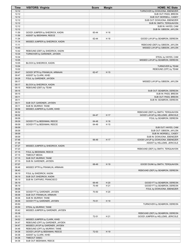| <b>Time</b>    | <b>VISITORS: Virginia</b>                                | <b>Score</b>   | <b>Margin</b> | <b>HOME: NC State</b>              |
|----------------|----------------------------------------------------------|----------------|---------------|------------------------------------|
| 12:12          |                                                          |                |               | TURNOVER by DOWUONA, EBENEZER      |
| 12:12          |                                                          |                |               | SUB OUT: PASS, BREON               |
| 12:12          |                                                          |                |               | SUB OUT: MORSELL, CASEY            |
| 12:12          |                                                          |                |               | SUB OUT: DOWUONA, EBENEZER         |
| 12:12          |                                                          |                |               | SUB IN: SMITH, TERQUAVION          |
| 12:12          |                                                          |                |               | SUB IN: HAYES, CAM                 |
| 12:12          |                                                          |                |               | SUB IN: GIBSON, JAYLON             |
| 11:59          | GOOD! JUMPER by SHEDRICK, KADIN                          | 60-44          | H 16          |                                    |
| 11:59          | ASSIST by BEEKMAN, REECE                                 |                |               |                                    |
| 11:34<br>11:14 | MISSED JUMPER by SHEDRICK, KADIN                         | 62-44          | H 18          | GOOD! LAYUP by SEABRON, DEREON     |
| 11:11          |                                                          |                |               | REBOUND (DEF) by GIBSON, JAYLON    |
| 10:45          |                                                          |                |               | MISSED LAYUP by GIBSON, JAYLON     |
| 10:42          | REBOUND (DEF) by SHEDRICK, KADIN                         |                |               |                                    |
| 10:34          | TURNOVER by GARDNER, JAYDEN                              |                |               |                                    |
| 10:34          |                                                          |                |               | STEAL by HAYES, CAM                |
| 10:05          |                                                          |                |               | MISSED LAYUP by SEABRON, DEREON    |
| 10:05          | BLOCK by SHEDRICK, KADIN                                 |                |               |                                    |
| 10:04          |                                                          |                |               | TURNOVER by TEAM                   |
| 10:02          |                                                          |                |               | REBOUND (OFF) by TEAM              |
| 09:47          | GOOD! 3PTR by FRANKLIN, ARMAAN                           | 62-47          | H 15          |                                    |
| 09:47          | ASSIST by CLARK, KIHEI                                   |                |               |                                    |
| 09:28<br>09:17 | FOUL by GARDNER, JAYDEN                                  |                |               | MISSED LAYUP by GIBSON, JAYLON     |
| 09:17          | BLOCK by SHEDRICK, KADIN                                 |                |               |                                    |
| 09:15          | REBOUND (DEF) by TEAM                                    |                |               |                                    |
| 09:15          |                                                          |                |               | SUB OUT: SEABRON, DEREON           |
| 09:15          |                                                          |                |               | SUB IN: PASS, BREON                |
| 09:11          |                                                          |                |               | SUB OUT: PASS, BREON               |
| 09:11          |                                                          |                |               | SUB IN: SEABRON, DEREON            |
| 09:11          | SUB OUT: GARDNER, JAYDEN                                 |                |               |                                    |
| 09:11          | SUB IN: MURRAY, TAINE                                    |                |               |                                    |
| 08:56          | MISSED JUMPER by CLARK, KIHEI                            |                |               |                                    |
| 08:52          |                                                          |                |               | REBOUND (DEF) by SMITH, TERQUAVION |
| 08:32          |                                                          | 64-47          | H 17          | GOOD! LAYUP by HELLEMS, JERICOLE   |
| 08:09          |                                                          |                |               | FOUL by SEABRON, DEREON            |
| 08:09<br>08:09 | GOOD! FT by BEEKMAN, REECE<br>GOOD! FT by BEEKMAN, REECE | 64-48<br>64-49 | H 16<br>H 15  |                                    |
| 08:09          |                                                          |                |               | SUB OUT: HAYES, CAM                |
| 08:09          |                                                          |                |               | SUB OUT: GIBSON, JAYLON            |
| 08:09          |                                                          |                |               | SUB IN: MORSELL, CASEY             |
| 08:09          |                                                          |                |               | SUB IN: DOWUONA, EBENEZER          |
| 07:48          |                                                          | 66-49          | H 17          | GOOD! LAYUP by DOWUONA, EBENEZER   |
| 07:48          |                                                          |                |               | ASSIST by HELLEMS, JERICOLE        |
| 07:27          | MISSED JUMPER by SHEDRICK, KADIN                         |                |               |                                    |
| 07:23          |                                                          |                |               | REBOUND (DEF) by SMITH, TERQUAVION |
| 07:15          | FOUL by BEEKMAN, REECE                                   |                |               |                                    |
| 07:15          | <b>TIMEOUT MEDIA</b>                                     |                |               |                                    |
| 07:15          | SUB OUT: MURRAY, TAINE                                   |                |               |                                    |
| 07:15<br>07:07 | SUB IN: GARDNER, JAYDEN                                  | 68-49          | H 19          | GOOD! DUNK by SMITH, TERQUAVION    |
| 06:46          | MISSED 3PTR by FRANKLIN, ARMAAN                          |                |               |                                    |
| 06:43          |                                                          |                |               | REBOUND (DEF) by SEABRON, DEREON   |
| 06:19          | FOUL by SHEDRICK, KADIN                                  |                |               |                                    |
| 06:19          | SUB OUT: SHEDRICK, KADIN                                 |                |               |                                    |
| 06:19          | SUB IN: CAFFARO, FRANCISCO                               |                |               |                                    |
| 06:19          |                                                          | 69-49          | H 20          | GOOD! FT by SEABRON, DEREON        |
| 06:19          |                                                          | 70-49          | H 21          | GOOD! FT by SEABRON, DEREON        |
| 06:06          |                                                          |                |               | FOUL by DOWUONA, EBENEZER          |
| 06:06          | GOOD! FT by GARDNER, JAYDEN                              | 70-50          | H 20          |                                    |
| 06:06          | SUB OUT: FRANKLIN, ARMAAN                                |                |               |                                    |
| 06:06          | SUB IN: MURRAY, TAINE                                    |                |               |                                    |
| 06:06          | GOOD! FT by GARDNER, JAYDEN                              | 70-51          | H 19          |                                    |
| 05:50<br>05:50 | STEAL by MURRAY, TAINE                                   |                |               | TURNOVER by SEABRON, DEREON        |
| 05:42          | MISSED JUMPER by GARDNER, JAYDEN                         |                |               |                                    |
| 05:38          |                                                          |                |               | REBOUND (DEF) by SEABRON, DEREON   |
| 05:13          |                                                          | 72-51          | H 21          | GOOD! JUMPER by HELLEMS, JERICOLE  |
| 04:52          | MISSED JUMPER by CLARK, KIHEI                            |                |               |                                    |
| 04:47          | REBOUND (OFF) by GARDNER, JAYDEN                         |                |               |                                    |
| 04:47          | MISSED LAYUP by GARDNER, JAYDEN                          |                |               |                                    |
| 04:46          | REBOUND (OFF) by MURRAY, TAINE                           |                |               |                                    |
| 04:36          | GOOD! LAYUP by BEEKMAN, REECE                            | 72-53          | H 19          |                                    |
| 04:36          | ASSIST by CLARK, KIHEI                                   |                |               |                                    |
| 04:36          | TIMEOUT 30SEC                                            |                |               |                                    |
| 04:36          | SUB OUT: BEEKMAN, REECE                                  |                |               |                                    |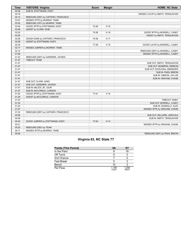| <b>Time</b> | <b>VISITORS: Virginia</b>           | <b>Score</b> | <b>Margin</b> | <b>HOME: NC State</b>             |
|-------------|-------------------------------------|--------------|---------------|-----------------------------------|
| 04:36       | SUB IN: STATTMANN, KODY             |              |               |                                   |
| 04:16       |                                     |              |               | MISSED LAYUP by SMITH, TERQUAVION |
| 04:14       | REBOUND (DEF) by CAFFARO, FRANCISCO |              |               |                                   |
| 03:57       | MISSED 3PTR by MURRAY, TAINE        |              |               |                                   |
| 03:54       | REBOUND (OFF) by MURRAY, TAINE      |              |               |                                   |
| 03:48       | GOOD! 3PTR by STATTMANN, KODY       | 72-56        | H 16          |                                   |
| 03:48       | ASSIST by CLARK, KIHEI              |              |               |                                   |
| 03:25       |                                     | 75-56        | H 19          | GOOD! 3PTR by MORSELL, CASEY      |
| 03:25       |                                     |              |               | ASSIST by SMITH, TERQUAVION       |
| 02:58       | GOOD! DUNK by CAFFARO, FRANCISCO    | 75-58        | H 17          |                                   |
| 02:58       | ASSIST by STATTMANN, KODY           |              |               |                                   |
| 02:35       |                                     | 77-58        | H 19          | GOOD! LAYUP by MORSELL, CASEY     |
| 02:17       | MISSED JUMPER by MURRAY, TAINE      |              |               |                                   |
| 02:15       |                                     |              |               | REBOUND (DEF) by MORSELL, CASEY   |
| 01:56       |                                     |              |               | MISSED 3PTR by MORSELL, CASEY     |
| 01:53       | REBOUND (DEF) by GARDNER, JAYDEN    |              |               |                                   |
| 01:47       | <b>TIMEOUT TEAM</b>                 |              |               |                                   |
| 01:47       |                                     |              |               | SUB OUT: SMITH, TERQUAVION        |
| 01:47       |                                     |              |               | SUB OUT: SEABRON, DEREON          |
| 01:47       |                                     |              |               | SUB OUT: DOWUONA, EBENEZER        |
| 01:47       |                                     |              |               | SUB IN: PASS, BREON               |
| 01:47       |                                     |              |               | SUB IN: GIBSON, JAYLON            |
| 01:47       |                                     |              |               | SUB IN: GRAHAM, CHASE             |
| 01:47       | SUB OUT: CLARK, KIHEI               |              |               |                                   |
| 01:47       | SUB OUT: GARDNER, JAYDEN            |              |               |                                   |
| 01:47       | SUB IN: MILIČIĆ JR., IGOR           |              |               |                                   |
| 01:47       | SUB IN: MCCORKLE, CARSON            |              |               |                                   |
| 01:29       | GOOD! 3PTR by STATTMANN, KODY       | 77-61        | H 16          |                                   |
| 01:29       | ASSIST by MCCORKLE, CARSON          |              |               |                                   |
| 01:24       |                                     |              |               | TIMEOUT 30SEC                     |
| 01:24       |                                     |              |               | SUB OUT: MORSELL, CASEY           |
| 01:24       |                                     |              |               | SUB IN: NUNNALLY, ALEX            |
| 01:07       |                                     |              |               | MISSED 3PTR by GRAHAM, CHASE      |
| 01:03       | REBOUND (DEF) by CAFFARO, FRANCISCO |              |               |                                   |
| 00:56       |                                     |              |               | SUB OUT: HELLEMS, JERICOLE        |
| 00:56       |                                     |              |               | SUB IN: SMITH, TERQUAVION         |
| 00:44       | GOOD! JUMPER by STATTMANN, KODY     | 77-63        | H 14          |                                   |
| 00:21       |                                     |              |               | MISSED 3PTR by GRAHAM, CHASE      |
| 00:20       | REBOUND (DEF) by TEAM               |              |               |                                   |
| 00:11       | MISSED 3PTR by MURRAY, TAINE        |              |               |                                   |
| 00:08       |                                     |              |               | REBOUND (DEF) by PASS, BREON      |

# **Virginia 63, NC State 77**

| <b>Points (This Period)</b> | VA             | SТ             |
|-----------------------------|----------------|----------------|
| In the Paint                |                | 18             |
| Off Turns                   |                |                |
| 2nd Chance                  |                |                |
| Fast Break                  |                |                |
| Bench                       | 12             |                |
| Per Poss                    | 1.148<br>13/27 | 1.259<br>16/27 |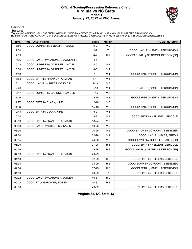#### **Official Scoring/Possession Reference Chart Virginia vs NC State Period 1 January 22, 2022 at PNC Arena**



### **Period 1**

<mark>Startersː</mark><br>Virginia: 0 CLARK,KIHEI (G); 1 GARDNER,JAYDEN (F); 2 BEEKMAN,REECE (G); 4 FRANKLIN,ARMAAN (G); 22 CAFFARO,FRANCISCO (C);<br>**NC State**: 0 SMITH,TERQUAVION (G); 1 SEABRON,DEREON (G); 4 HELLEMS,JERICOLE (F); 14 MORS

| <b>Time</b> | <b>VISITORS: Virginia</b>           | <b>Score</b> | <b>Margin</b>  | <b>HOME: NC State</b>               |
|-------------|-------------------------------------|--------------|----------------|-------------------------------------|
| 18:56       | GOOD! JUMPER by BEEKMAN, REECE      | $0 - 2$      | V <sub>2</sub> |                                     |
| 17:54       |                                     | $2 - 2$      | T              | GOOD! LAYUP by SMITH, TERQUAVION    |
| 17:33       |                                     | $4 - 2$      | H <sub>2</sub> | GOOD! DUNK by SEABRON, DEREON [FB]  |
| 16:56       | GOOD! LAYUP by GARDNER, JAYDEN [FB] | $4 - 4$      | $\mathsf{T}$   |                                     |
| 16:23       | GOOD! JUMPER by GARDNER, JAYDEN     | $4-6$        | V <sub>2</sub> |                                     |
| 15:36       | GOOD! JUMPER by GARDNER, JAYDEN     | $4 - 8$      | V <sub>4</sub> |                                     |
| 14:18       |                                     | $7-8$        | V <sub>1</sub> | GOOD! 3PTR by SMITH, TERQUAVION     |
| 13:53       | GOOD! 3PTR by FRANKLIN, ARMAAN      | $7 - 11$     | V <sub>4</sub> |                                     |
| 13:11       | GOOD! LAYUP by SHEDRICK, KADIN      | $7 - 13$     | $V_6$          |                                     |
| 12:46       |                                     | $9 - 13$     | V <sub>4</sub> | GOOD! LAYUP by SMITH, TERQUAVION    |
| 12:17       | GOOD! JUMPER by GARDNER, JAYDEN     | $9 - 15$     | V6             |                                     |
| 11:49       |                                     | $12 - 15$    | $V_3$          | GOOD! 3PTR by SMITH, TERQUAVION     |
| 11:27       | GOOD! 3PTR by CLARK, KIHEI          | $12 - 18$    | $V_6$          |                                     |
| 11:03       |                                     | $15 - 18$    | V3             | GOOD! 3PTR by SMITH, TERQUAVION     |
| 10:43       | GOOD! 3PTR by CLARK, KIHEI          | $15 - 21$    | $V_6$          |                                     |
| 10:24       |                                     | 18-21        | $V_3$          | GOOD! 3PTR by HELLEMS, JERICOLE     |
| 09:53       | GOOD! 3PTR by FRANKLIN, ARMAAN      | 18-24        | $V_6$          |                                     |
| 08:58       | GOOD! LAYUP by SHEDRICK, KADIN      | 18-26        | V 8            |                                     |
| 08:30       |                                     | 20-26        | $V_6$          | GOOD! LAYUP by DOWUONA, EBENEZER    |
| 07:20       |                                     | 22-26        | V <sub>4</sub> | GOOD! LAYUP by PASS, BREON          |
| 06:55       |                                     | 24-26        | V <sub>2</sub> | GOOD! LAYUP by MORSELL, CASEY [FB]  |
| 06:20       |                                     | 27-26        | H <sub>1</sub> | GOOD! 3PTR by HELLEMS, JERICOLE     |
| 05:56       |                                     | 29-26        | H 3            | GOOD! LAYUP by SEABRON, DEREON [FB] |
| 04:53       | GOOD! 3PTR by FRANKLIN, ARMAAN      | 29-29        | $\mathsf{T}$   |                                     |
| 04:13       |                                     | 32-29        | $H_3$          | GOOD! 3PTR by HELLEMS, JERICOLE     |
| 03:34       |                                     | 34-29        | H 5            | GOOD! DUNK by DOWUONA, EBENEZER     |
| 02:54       |                                     | 37-29        | H 8            | GOOD! 3PTR by SMITH, TERQUAVION     |
| 01:59       |                                     | 40-29        | H 11           | GOOD! 3PTR by HELLEMS, JERICOLE     |
| 00:22       | GOOD! LAYUP by GARDNER, JAYDEN      | 40-31        | H 9            |                                     |
| 00:22       | GOOD! FT by GARDNER, JAYDEN         | 40-32        | H <sub>8</sub> |                                     |
| 00:00       |                                     | 43-32        | H 11           | GOOD! 3PTR by HELLEMS, JERICOLE     |

**Virginia 32, NC State 43**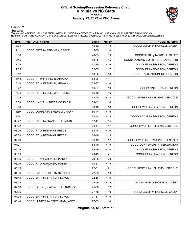#### **Official Scoring/Possession Reference Chart Virginia vs NC State Period 2 January 22, 2022 at PNC Arena**



### **Period 2**

#### **Starters:**

**Virginia**: 0 CLARK,KIHEI (G); 1 GARDNER,JAYDEN (F); 2 BEEKMAN,REECE (G); 4 FRANKLIN,ARMAAN (G); 22 CAFFARO,FRANCISCO (C);<br>**NC State**: 0 SMITH,TERQUAVION (G); 1 SEABRON,DEREON (G); 4 HELLEMS,JERICOLE (F); 14 MORSELL,CASEY

| <b>Time</b> | <b>VISITORS: Virginia</b>        | <b>Score</b> | <b>Margin</b> | <b>HOME: NC State</b>                 |
|-------------|----------------------------------|--------------|---------------|---------------------------------------|
| 19:34       |                                  | 45-32        | H 13          | GOOD! LAYUP by MORSELL, CASEY         |
| 19:11       | GOOD! 3PTR by BEEKMAN, REECE     | 45-35        | H 10          |                                       |
| 18:06       |                                  | 48-35        | H 13          | GOOD! 3PTR by MORSELL, CASEY          |
| 17:45       |                                  | 50-35        | H 15          | GOOD! LAYUP by SMITH, TERQUAVION [FB] |
| 17:05       |                                  | 51-35        | H 16          | GOOD! FT by SEABRON, DEREON           |
| 17:05       |                                  | 52-35        | H 17          | GOOD! FT by SEABRON, DEREON           |
| 16:42       |                                  | 53-35        | H 18          | GOOD! FT by SEABRON, DEREON [FB]      |
| 15:48       | GOOD! FT by FRANKLIN, ARMAAN     | 53-36        | H 17          |                                       |
| 15:48       | GOOD! FT by FRANKLIN, ARMAAN     | 53-37        | H 16          |                                       |
| 15:27       |                                  | 56-37        | H 19          | GOOD! 3PTR by PASS, BREON             |
| 15:04       | GOOD! 3PTR by BEEKMAN, REECE     | 56-40        | H 16          |                                       |
| 14:29       |                                  | 58-40        | H 18          | GOOD! JUMPER by HELLEMS, JERICOLE     |
| 13:38       | GOOD! LAYUP by SHEDRICK, KADIN   | 58-42        | H 16          |                                       |
| 12:53       |                                  | 60-42        | H 18          | GOOD! LAYUP by SEABRON, DEREON        |
| 11:59       | GOOD! JUMPER by SHEDRICK, KADIN  | 60-44        | H 16          |                                       |
| 11:34       |                                  | 62-44        | H 18          | GOOD! LAYUP by SEABRON, DEREON        |
| 09:47       | GOOD! 3PTR by FRANKLIN, ARMAAN   | 62-47        | H 15          |                                       |
| 08:32       |                                  | 64-47        | H 17          | GOOD! LAYUP by HELLEMS, JERICOLE      |
| 08:09       | GOOD! FT by BEEKMAN, REECE       | 64-48        | H 16          |                                       |
| 08:09       | GOOD! FT by BEEKMAN, REECE       | 64-49        | H 15          |                                       |
| 07:48       |                                  | 66-49        | H 17          | GOOD! LAYUP by DOWUONA, EBENEZER      |
| 07:07       |                                  | 68-49        | H 19          | GOOD! DUNK by SMITH, TERQUAVION       |
| 06:19       |                                  | 69-49        | H 20          | GOOD! FT by SEABRON, DEREON           |
| 06:19       |                                  | 70-49        | H 21          | GOOD! FT by SEABRON, DEREON           |
| 06:06       | GOOD! FT by GARDNER, JAYDEN      | 70-50        | H 20          |                                       |
| 06:06       | GOOD! FT by GARDNER, JAYDEN      | 70-51        | H 19          |                                       |
| 05:13       |                                  | 72-51        | H 21          | GOOD! JUMPER by HELLEMS, JERICOLE     |
| 04:36       | GOOD! LAYUP by BEEKMAN, REECE    | 72-53        | H 19          |                                       |
| 03:48       | GOOD! 3PTR by STATTMANN, KODY    | 72-56        | H 16          |                                       |
| 03:25       |                                  | 75-56        | H 19          | GOOD! 3PTR by MORSELL, CASEY          |
| 02:58       | GOOD! DUNK by CAFFARO, FRANCISCO | 75-58        | H 17          |                                       |
| 02:35       |                                  | 77-58        | H 19          | GOOD! LAYUP by MORSELL, CASEY         |
| 01:29       | GOOD! 3PTR by STATTMANN, KODY    | 77-61        | H 16          |                                       |
| 00:44       | GOOD! JUMPER by STATTMANN, KODY  | 77-63        | H 14          |                                       |

**Virginia 63, NC State 77**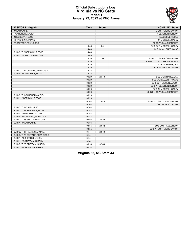

#### **Official Substitutions Log Virginia vs NC State Period 1 January 22, 2022 at PNC Arena**

| <b>VISITORS: Virginia</b>      | <b>Time</b> | <b>Score</b> | <b>HOME: NC State</b>        |
|--------------------------------|-------------|--------------|------------------------------|
| 0 CLARK, KIHEI                 |             |              | 0 SMITH, TERQUAVION          |
| 1 GARDNER, JAYDEN              |             |              | 1 SEABRON, DEREON            |
| 2 BEEKMAN, REECE               |             |              | 4 HELLEMS, JERICOLE          |
| 4 FRANKLIN, ARMAAN             |             |              | 14 MORSELL, CASEY            |
| 22 CAFFARO, FRANCISCO          |             |              | 21 DOWUONA, EBENEZER         |
|                                | 14:48       | $8 - 4$      | SUB OUT: MORSELL, CASEY      |
|                                | 14:48       |              | <b>SUB IN: ALLEN, THOMAS</b> |
| SUB OUT: 2 BEEKMAN, REECE      | 14:48       |              |                              |
| SUB IN: 23 STATTMANN.KODY      | 14:48       |              |                              |
|                                | 13:35       | $11 - 7$     | SUB OUT: SEABRON, DEREON     |
|                                | 13:35       |              | SUB OUT: DOWUONA, EBENEZER   |
|                                | 13:35       |              | SUB IN: HAYES, CAM           |
|                                | 13:35       |              | SUB IN: GIBSON, JAYLON       |
| SUB OUT: 22 CAFFARO, FRANCISCO | 13:35       |              |                              |
| SUB IN: 21 SHEDRICK, KADIN     | 13:35       |              |                              |
|                                | 09:29       | $24 - 18$    | SUB OUT: HAYES,CAM           |
|                                | 09:29       |              | SUB OUT: ALLEN, THOMAS       |
|                                | 09:29       |              | SUB OUT: GIBSON, JAYLON      |
|                                | 09:29       |              | SUB IN: SEABRON, DEREON      |
|                                | 09:29       |              | SUB IN: MORSELL, CASEY       |
|                                | 09:29       |              | SUB IN: DOWUONA, EBENEZER    |
| SUB OUT: 1 GARDNER, JAYDEN     | 09:29       |              |                              |
| SUB IN: 2 BEEKMAN, REECE       | 09:29       |              |                              |
|                                | 07:44       | 26-20        | SUB OUT: SMITH, TERQUAVION   |
|                                | 07:44       |              | SUB IN: PASS, BREON          |
| SUB OUT: 0 CLARK, KIHEI        | 07:44       |              |                              |
| SUB OUT: 21 SHEDRICK, KADIN    | 07:44       |              |                              |
| SUB IN: 1 GARDNER, JAYDEN      | 07:44       |              |                              |
| SUB IN: 22 CAFFARO, FRANCISCO  | 07:44       |              |                              |
| SUB OUT: 23 STATTMANN, KODY    | 05:56       | 26-29        |                              |
| SUB IN: 0 CLARK, KIHEI         | 05:56       |              |                              |
|                                | 03:55       | 29-32        | SUB OUT: PASS, BREON         |
|                                | 03:55       |              | SUB IN: SMITH, TERQUAVION    |
| SUB OUT: 4 FRANKLIN.ARMAAN     | 01:41       | 29-40        |                              |
| SUB OUT: 22 CAFFARO, FRANCISCO | 01:41       |              |                              |
| SUB IN: 21 SHEDRICK, KADIN     | 01:41       |              |                              |
| SUB IN: 23 STATTMANN, KODY     | 01:41       |              |                              |
| SUB OUT: 23 STATTMANN.KODY     | 00:14       | 32-40        |                              |
| SUB IN: 4 FRANKLIN, ARMAAN     | 00:14       |              |                              |

**Virginia 32, NC State 43**